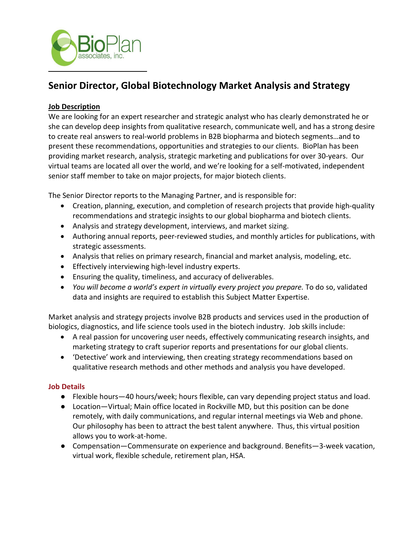

# **Senior Director, Global Biotechnology Market Analysis and Strategy**

## **Job Description**

We are looking for an expert researcher and strategic analyst who has clearly demonstrated he or she can develop deep insights from qualitative research, communicate well, and has a strong desire to create real answers to real-world problems in B2B biopharma and biotech segments…and to present these recommendations, opportunities and strategies to our clients. BioPlan has been providing market research, analysis, strategic marketing and publications for over 30-years. Our virtual teams are located all over the world, and we're looking for a self-motivated, independent senior staff member to take on major projects, for major biotech clients.

The Senior Director reports to the Managing Partner, and is responsible for:

- Creation, planning, execution, and completion of research projects that provide high-quality recommendations and strategic insights to our global biopharma and biotech clients.
- Analysis and strategy development, interviews, and market sizing.
- Authoring annual reports, peer-reviewed studies, and monthly articles for publications, with strategic assessments.
- Analysis that relies on primary research, financial and market analysis, modeling, etc.
- Effectively interviewing high-level industry experts.
- Ensuring the quality, timeliness, and accuracy of deliverables.
- *You will become a world's expert in virtually every project you prepare.* To do so, validated data and insights are required to establish this Subject Matter Expertise.

Market analysis and strategy projects involve B2B products and services used in the production of biologics, diagnostics, and life science tools used in the biotech industry. Job skills include:

- A real passion for uncovering user needs, effectively communicating research insights, and marketing strategy to craft superior reports and presentations for our global clients.
- 'Detective' work and interviewing, then creating strategy recommendations based on qualitative research methods and other methods and analysis you have developed.

#### **Job Details**

- Flexible hours—40 hours/week; hours flexible, can vary depending project status and load.
- Location—Virtual; Main office located in Rockville MD, but this position can be done remotely, with daily communications, and regular internal meetings via Web and phone. Our philosophy has been to attract the best talent anywhere. Thus, this virtual position allows you to work-at-home.
- Compensation—Commensurate on experience and background. Benefits—3-week vacation, virtual work, flexible schedule, retirement plan, HSA.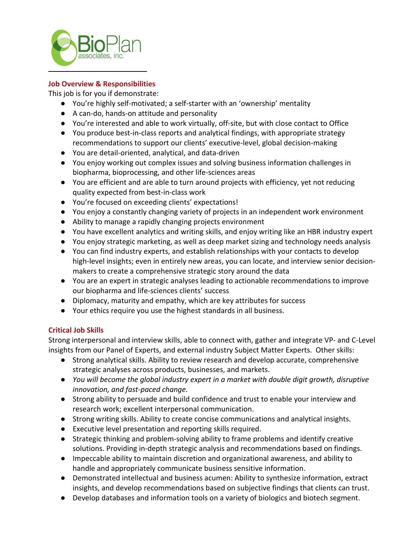

### **Job Overview & Responsibilities**

This job is for you if demonstrate:

- You're highly self-motivated; a self-starter with an 'ownership' mentality
- A can-do, hands-on attitude and personality
- You're interested and able to work virtually, off-site, but with close contact to Office
- You produce best-in-class reports and analytical findings, with appropriate strategy recommendations to support our clients' executive-level, global decision-making
- You are detail-oriented, analytical, and data-driven
- You enjoy working out complex issues and solving business information challenges in biopharma, bioprocessing, and other life-sciences areas
- You are efficient and are able to turn around projects with efficiency, yet not reducing quality expected from best-in-class work
- You're focused on exceeding clients' expectations!
- You enjoy a constantly changing variety of projects in an independent work environment
- Ability to manage a rapidly changing projects environment
- You have excellent analytics and writing skills, and enjoy writing like an HBR industry expert
- You enjoy strategic marketing, as well as deep market sizing and technology needs analysis
- You can find industry experts, and establish relationships with your contacts to develop high-level insights; even in entirely new areas, you can locate, and interview senior decisionmakers to create a comprehensive strategic story around the data
- You are an expert in strategic analyses leading to actionable recommendations to improve our biopharma and life-sciences clients' success
- Diplomacy, maturity and empathy, which are key attributes for success
- Your ethics require you use the highest standards in all business.

## **Critical Job Skills**

Strong interpersonal and interview skills, able to connect with, gather and integrate VP- and C-Level insights from our Panel of Experts, and external industry Subject Matter Experts. Other skills:

- Strong analytical skills. Ability to review research and develop accurate, comprehensive strategic analyses across products, businesses, and markets.
- *You will become the global industry expert in a market with double digit growth, disruptive innovation, and fast-paced change.*
- Strong ability to persuade and build confidence and trust to enable your interview and research work; excellent interpersonal communication.
- Strong writing skills. Ability to create concise communications and analytical insights.
- Executive level presentation and reporting skills required.
- Strategic thinking and problem-solving ability to frame problems and identify creative solutions. Providing in-depth strategic analysis and recommendations based on findings.
- Impeccable ability to maintain discretion and organizational awareness, and ability to handle and appropriately communicate business sensitive information.
- Demonstrated intellectual and business acumen: Ability to synthesize information, extract insights, and develop recommendations based on subjective findings that clients can trust.
- Develop databases and information tools on a variety of biologics and biotech segment.